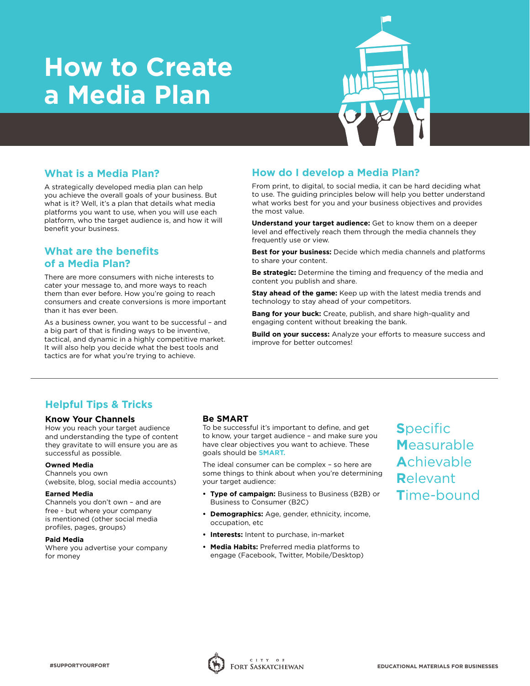# **How to Create a Media Plan**



## **What is a Media Plan?**

A strategically developed media plan can help you achieve the overall goals of your business. But what is it? Well, it's a plan that details what media platforms you want to use, when you will use each platform, who the target audience is, and how it will benefit your business.

# **What are the benefits of a Media Plan?**

There are more consumers with niche interests to cater your message to, and more ways to reach them than ever before. How you're going to reach consumers and create conversions is more important than it has ever been.

As a business owner, you want to be successful – and a big part of that is finding ways to be inventive, tactical, and dynamic in a highly competitive market. It will also help you decide what the best tools and tactics are for what you're trying to achieve.

## **How do I develop a Media Plan?**

From print, to digital, to social media, it can be hard deciding what to use. The guiding principles below will help you better understand what works best for you and your business objectives and provides the most value.

**Understand your target audience:** Get to know them on a deeper level and effectively reach them through the media channels they frequently use or view.

**Best for your business:** Decide which media channels and platforms to share your content.

**Be strategic:** Determine the timing and frequency of the media and content you publish and share.

**Stay ahead of the game:** Keep up with the latest media trends and technology to stay ahead of your competitors.

**Bang for your buck:** Create, publish, and share high-quality and engaging content without breaking the bank.

**Build on your success:** Analyze your efforts to measure success and improve for better outcomes!

# **Helpful Tips & Tricks**

## **Know Your Channels**

How you reach your target audience and understanding the type of content they gravitate to will ensure you are as successful as possible.

#### **Owned Media**

Channels you own (website, blog, social media accounts)

#### **Earned Media**

Channels you don't own – and are free - but where your company is mentioned (other social media profiles, pages, groups)

#### **Paid Media**

Where you advertise your company for money

## **Be SMART**

To be successful it's important to define, and get to know, your target audience – and make sure you have clear objectives you want to achieve. These goals should be **SMART.**

The ideal consumer can be complex – so here are some things to think about when you're determining your target audience:

- **• Type of campaign:** Business to Business (B2B) or Business to Consumer (B2C)
- **• Demographics:** Age, gender, ethnicity, income, occupation, etc
- **• Interests:** Intent to purchase, in-market
- **• Media Habits:** Preferred media platforms to engage (Facebook, Twitter, Mobile/Desktop)

**S**pecific **M**easurable **A**chievable **R**elevant **T**ime-bound